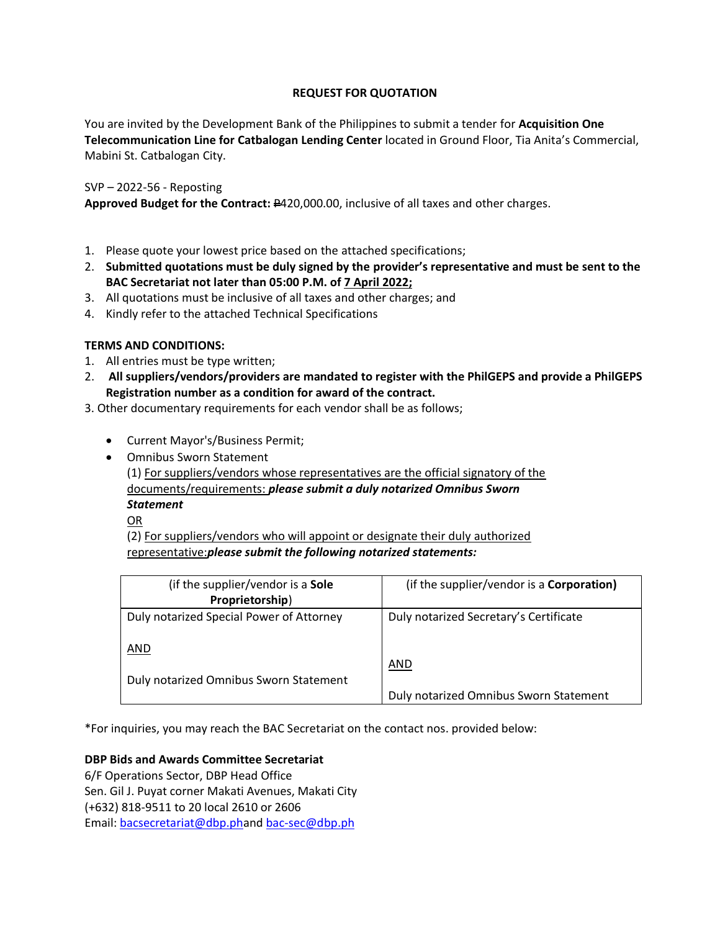# **REQUEST FOR QUOTATION**

You are invited by the Development Bank of the Philippines to submit a tender for **Acquisition One Telecommunication Line for Catbalogan Lending Center** located in Ground Floor, Tia Anita's Commercial, Mabini St. Catbalogan City.

# SVP – 2022-56 - Reposting

**Approved Budget for the Contract:** P420,000.00, inclusive of all taxes and other charges.

- 1. Please quote your lowest price based on the attached specifications;
- 2. **Submitted quotations must be duly signed by the provider's representative and must be sent to the BAC Secretariat not later than 05:00 P.M. of 7 April 2022;**
- 3. All quotations must be inclusive of all taxes and other charges; and
- 4. Kindly refer to the attached Technical Specifications

# **TERMS AND CONDITIONS:**

- 1. All entries must be type written;
- 2. **All suppliers/vendors/providers are mandated to register with the PhilGEPS and provide a PhilGEPS Registration number as a condition for award of the contract.**
- 3. Other documentary requirements for each vendor shall be as follows;
	- Current Mayor's/Business Permit;
	- Omnibus Sworn Statement

(1) For suppliers/vendors whose representatives are the official signatory of the documents/requirements: *please submit a duly notarized Omnibus Sworn Statement*

OR

(2) For suppliers/vendors who will appoint or designate their duly authorized representative:*please submit the following notarized statements:*

| (if the supplier/vendor is a Sole<br>Proprietorship) | (if the supplier/vendor is a <b>Corporation)</b> |
|------------------------------------------------------|--------------------------------------------------|
| Duly notarized Special Power of Attorney             | Duly notarized Secretary's Certificate           |
| AND<br>Duly notarized Omnibus Sworn Statement        | <b>AND</b>                                       |
|                                                      | Duly notarized Omnibus Sworn Statement           |

\*For inquiries, you may reach the BAC Secretariat on the contact nos. provided below:

# **DBP Bids and Awards Committee Secretariat**

6/F Operations Sector, DBP Head Office Sen. Gil J. Puyat corner Makati Avenues, Makati City (+632) 818-9511 to 20 local 2610 or 2606 Email: [bacsecretariat@dbp.pha](mailto:bacsecretariat@dbp.ph)nd [bac-sec@dbp.ph](mailto:bac-sec@dbp.ph)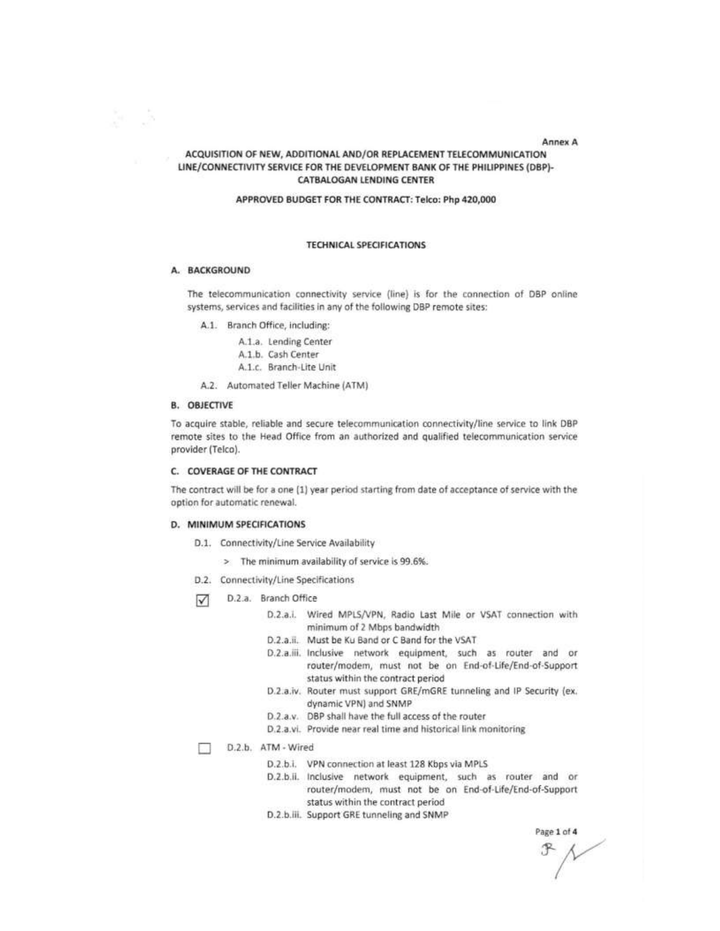#### **Annex A**

## ACQUISITION OF NEW, ADDITIONAL AND/OR REPLACEMENT TELECOMMUNICATION LINE/CONNECTIVITY SERVICE FOR THE DEVELOPMENT BANK OF THE PHILIPPINES (DBP)-CATBALOGAN LENDING CENTER

### APPROVED BUDGET FOR THE CONTRACT: Telco: Php 420,000

#### **TECHNICAL SPECIFICATIONS**

#### A. BACKGROUND

še š

The telecommunication connectivity service (line) is for the connection of DBP online systems, services and facilities in any of the following DBP remote sites:

- A.1. Branch Office, including:
	- A.1.a. Lending Center
	- A.1.b. Cash Center
	- A.1.c. Branch-Lite Unit
- A.2. Automated Teller Machine (ATM)

### **B. OBJECTIVE**

To acquire stable, reliable and secure telecommunication connectivity/line service to link DBP remote sites to the Head Office from an authorized and qualified telecommunication service provider (Telco).

#### C. COVERAGE OF THE CONTRACT

The contract will be for a one (1) year period starting from date of acceptance of service with the option for automatic renewal.

#### D. MINIMUM SPECIFICATIONS

- D.1. Connectivity/Line Service Availability
	- > The minimum availability of service is 99.6%.
- D.2. Connectivity/Line Specifications
- $\triangledown$ D.2.a. Branch Office
	- D.2.a.i. Wired MPLS/VPN, Radio Last Mile or VSAT connection with minimum of 2 Mbps bandwidth
	- D.2.a.ii. Must be Ku Band or C Band for the VSAT
	- D.2.a.iii. Inclusive network equipment, such as router and or router/modem, must not be on End-of-Life/End-of-Support status within the contract period
	- D.2.a.iv. Router must support GRE/mGRE tunneling and IP Security (ex. dynamic VPN) and SNMP
	- D.2.a.v. DBP shall have the full access of the router
	- D.2.a.vi. Provide near real time and historical link monitoring

D.2.b. ATM - Wired m.

- D.2.b.i. VPN connection at least 128 Kbps via MPLS
- D.2.b.ii. Inclusive network equipment, such as router and or router/modem, must not be on End-of-Life/End-of-Support status within the contract period
- D.2.b.iii. Support GRE tunneling and SNMP

Page 1 of 4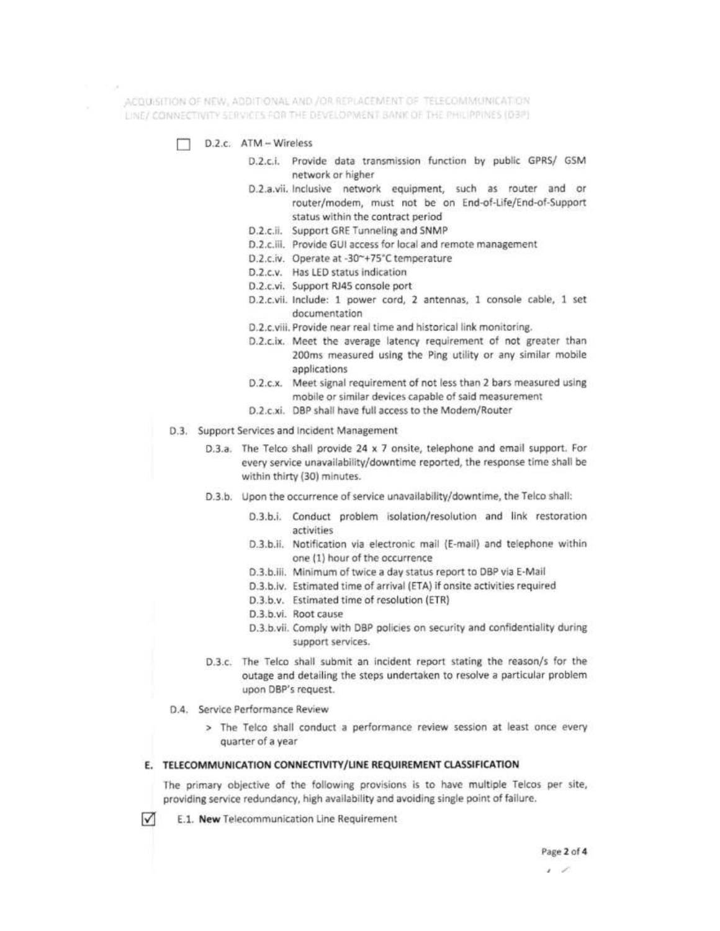ACQUISITION OF NEW, ADDITIONAL AND /OR REPLACEMENT OF TELECOMMUNICATION LINE/ CONNECTIVITY SERVICES FOR THE DEVELOPMENT BANK OF THE PHILIPPINES (DBP)

- D.Z.c. ATM Wireless
	- D.2.c.i. Provide data transmission function by public GPRS/ GSM network or higher
	- D.2.a.vii. Inclusive network equipment, such as router and or router/modem, must not be on End-of-Life/End-of-Support status within the contract period
	- D.2.c.ii. Support GRE Tunneling and SNMP
	- D.2.c.iii. Provide GUI access for local and remote management
	- D.2.c.iv. Operate at -30~+75°C temperature
	- D.2.c.v. Has LED status indication
	- D.2.c.vi. Support RJ45 console port
	- D.2.c.vii. Include: 1 power cord, 2 antennas, 1 console cable, 1 set documentation
	- D.2.c.viii. Provide near real time and historical link monitoring.
	- D.2.c.ix. Meet the average latency requirement of not greater than 200ms measured using the Ping utility or any similar mobile applications
	- D.2.c.x. Meet signal requirement of not less than 2 bars measured using mobile or similar devices capable of said measurement
	- D.2.c.xi. DBP shall have full access to the Modem/Router
- D.3. Support Services and Incident Management
	- D.3.a. The Telco shall provide 24 x 7 onsite, telephone and email support. For every service unavailability/downtime reported, the response time shall be within thirty (30) minutes.
	- D.3.b. Upon the occurrence of service unavailability/downtime, the Telco shall:
		- D.3.b.i. Conduct problem isolation/resolution and link restoration activities
		- D.3.b.ii. Notification via electronic mail (E-mail) and telephone within one (1) hour of the occurrence
		- D.3.b.iii. Minimum of twice a day status report to DBP via E-Mail
		- D.3.b.iv. Estimated time of arrival (ETA) if onsite activities required
		- D.3.b.v. Estimated time of resolution (ETR)
		- D.3.b.vi. Root cause
		- D.3.b.vii. Comply with DBP policies on security and confidentiality during support services.
	- D.3.c. The Telco shall submit an incident report stating the reason/s for the outage and detailing the steps undertaken to resolve a particular problem upon DBP's request.
- D.4. Service Performance Review

 $\sqrt{}$ 

> The Telco shall conduct a performance review session at least once every quarter of a year

### E. TELECOMMUNICATION CONNECTIVITY/LINE REQUIREMENT CLASSIFICATION

The primary objective of the following provisions is to have multiple Telcos per site, providing service redundancy, high availability and avoiding single point of failure.

E.1. New Telecommunication Line Requirement

<sup>, ,</sup>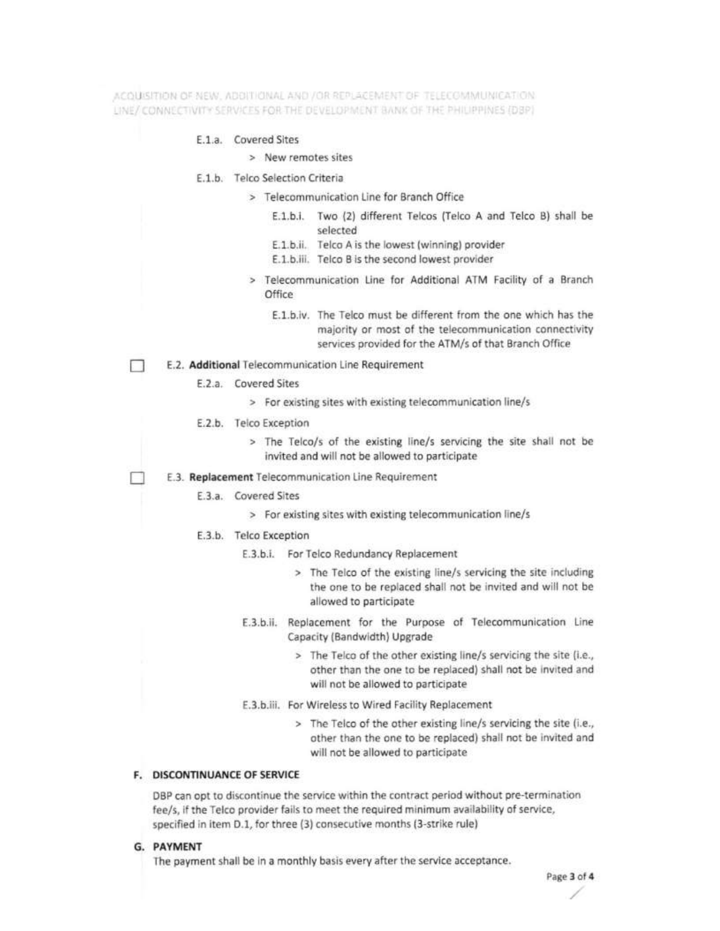ACOUSSTIDN OF NEW , ADDITIONAL AND / OR REPLACEMENT OF TELECOMMUNICATION LINE/ CONNECTIVITY SERVICES FOR THE DEVELOPMENT BANK OF THE PHILIPPINES (DBP)

### E.1.a. Covered Sites

- > New remotes sites
- E.1.b. Telco Selection Criteria
	- > Telecommunication Line for Branch Office
		- E.1.b.i. Two (2) different Telcos (Telco A and Telco B) shall be selected
		- E.1.b.ii. Telco A is the lowest (winning) provider
		- E.1.b.iii. Telco B is the second lowest provider
	- > Telecommunication Line for Additional ATM Facility of a Branch Office
		- E.1.b.iv. The Telco must be different from the one which has the majority or most of the telecommunication connectivity services provided for the ATM/s of that Branch Office
- E.2. Additional Telecommunication Line Requirement  $\mathbb{R}$ 
	- E.2.a. Covered Sites
		- > For existing sites with existing telecommunication line/s
	- E.2.b. Telco Exception
		- > The Telco/s of the existing line/s servicing the site shall not be invited and will not be allowed to participate
	- E.3. Replacement Telecommunication Line Requirement
		- E.3.a. Covered Sites
			- > For existing sites with existing telecommunication line/s
		- E.3.b. Telco Exception
			- E.3.b.i. For Telco Redundancy Replacement
				- > The Telco of the existing line/s servicing the site including the one to be replaced shall not be invited and will not be allowed to participate
			- E.3.b.ii. Replacement for the Purpose of Telecommunication Line Capacity (Bandwidth) Upgrade
				- > The Telco of the other existing line/s servicing the site (i.e., other than the one to be replaced) shall not be invited and will not be allowed to participate
			- E.3.b.iii. For Wireless to Wired Facility Replacement
				- > The Telco of the other existing line/s servicing the site (i.e., other than the one to be replaced) shall not be invited and will not be allowed to participate

# F. DISCONTINUANCE OF SERVICE

DBP can opt to discontinue the service within the contract period without pre-termination fee/s, if the Telco provider fails to meet the required minimum availability of service, specified in item D.1, for three (3) consecutive months (3-strike rule)

G. PAYMENT

The payment shall be in a monthly basis every after the service acceptance.